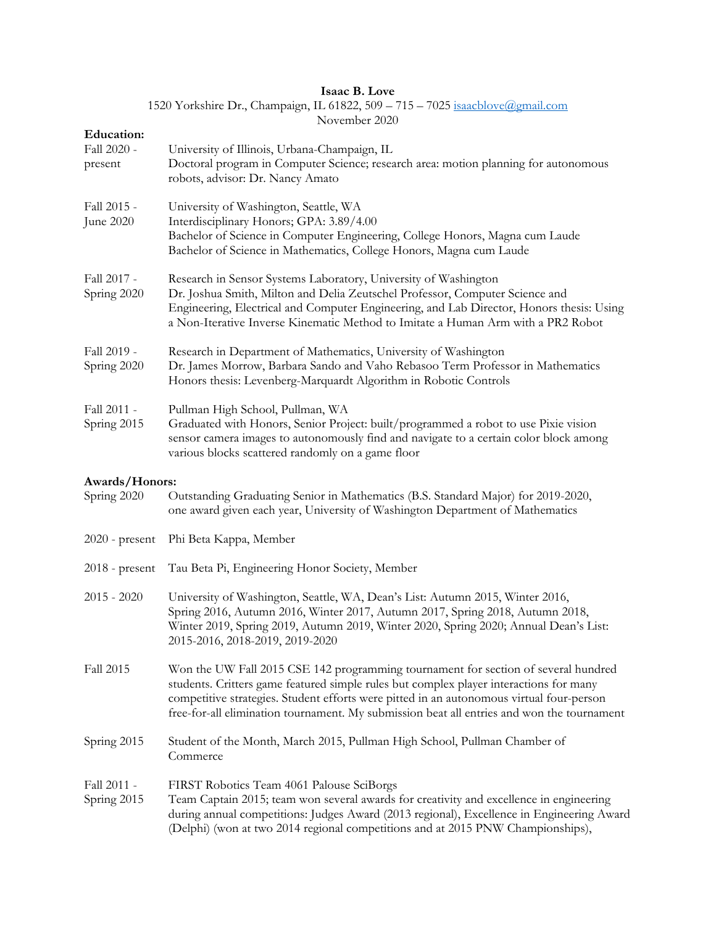## **Isaac B. Love**

| 1520 Yorkshire Dr., Champaign, IL 61822, 509 - 715 - 7025 isaacblove@gmail.com<br>November 2020 |                                                                                                                                                                                                                                                                                                                                                                        |  |
|-------------------------------------------------------------------------------------------------|------------------------------------------------------------------------------------------------------------------------------------------------------------------------------------------------------------------------------------------------------------------------------------------------------------------------------------------------------------------------|--|
| <b>Education:</b><br>Fall 2020 -<br>present                                                     | University of Illinois, Urbana-Champaign, IL<br>Doctoral program in Computer Science; research area: motion planning for autonomous<br>robots, advisor: Dr. Nancy Amato                                                                                                                                                                                                |  |
| Fall 2015 -<br>June 2020                                                                        | University of Washington, Seattle, WA<br>Interdisciplinary Honors; GPA: 3.89/4.00<br>Bachelor of Science in Computer Engineering, College Honors, Magna cum Laude<br>Bachelor of Science in Mathematics, College Honors, Magna cum Laude                                                                                                                               |  |
| Fall 2017 -<br>Spring 2020                                                                      | Research in Sensor Systems Laboratory, University of Washington<br>Dr. Joshua Smith, Milton and Delia Zeutschel Professor, Computer Science and<br>Engineering, Electrical and Computer Engineering, and Lab Director, Honors thesis: Using<br>a Non-Iterative Inverse Kinematic Method to Imitate a Human Arm with a PR2 Robot                                        |  |
| Fall 2019 -<br>Spring 2020                                                                      | Research in Department of Mathematics, University of Washington<br>Dr. James Morrow, Barbara Sando and Vaho Rebasoo Term Professor in Mathematics<br>Honors thesis: Levenberg-Marquardt Algorithm in Robotic Controls                                                                                                                                                  |  |
| Fall 2011 -<br>Spring 2015                                                                      | Pullman High School, Pullman, WA<br>Graduated with Honors, Senior Project: built/programmed a robot to use Pixie vision<br>sensor camera images to autonomously find and navigate to a certain color block among<br>various blocks scattered randomly on a game floor                                                                                                  |  |
| Awards/Honors:<br>Spring 2020                                                                   | Outstanding Graduating Senior in Mathematics (B.S. Standard Major) for 2019-2020,<br>one award given each year, University of Washington Department of Mathematics                                                                                                                                                                                                     |  |
| $2020$ - present                                                                                | Phi Beta Kappa, Member                                                                                                                                                                                                                                                                                                                                                 |  |
| $2018$ - present                                                                                | Tau Beta Pi, Engineering Honor Society, Member                                                                                                                                                                                                                                                                                                                         |  |
| $2015 - 2020$                                                                                   | University of Washington, Seattle, WA, Dean's List: Autumn 2015, Winter 2016,<br>Spring 2016, Autumn 2016, Winter 2017, Autumn 2017, Spring 2018, Autumn 2018,<br>Winter 2019, Spring 2019, Autumn 2019, Winter 2020, Spring 2020; Annual Dean's List:<br>2015-2016, 2018-2019, 2019-2020                                                                              |  |
| Fall 2015                                                                                       | Won the UW Fall 2015 CSE 142 programming tournament for section of several hundred<br>students. Critters game featured simple rules but complex player interactions for many<br>competitive strategies. Student efforts were pitted in an autonomous virtual four-person<br>free-for-all elimination tournament. My submission beat all entries and won the tournament |  |
| Spring 2015                                                                                     | Student of the Month, March 2015, Pullman High School, Pullman Chamber of<br>Commerce                                                                                                                                                                                                                                                                                  |  |
| Fall 2011 -<br>Spring 2015                                                                      | FIRST Robotics Team 4061 Palouse SciBorgs<br>Team Captain 2015; team won several awards for creativity and excellence in engineering<br>during annual competitions: Judges Award (2013 regional), Excellence in Engineering Award<br>(Delphi) (won at two 2014 regional competitions and at 2015 PNW Championships),                                                   |  |